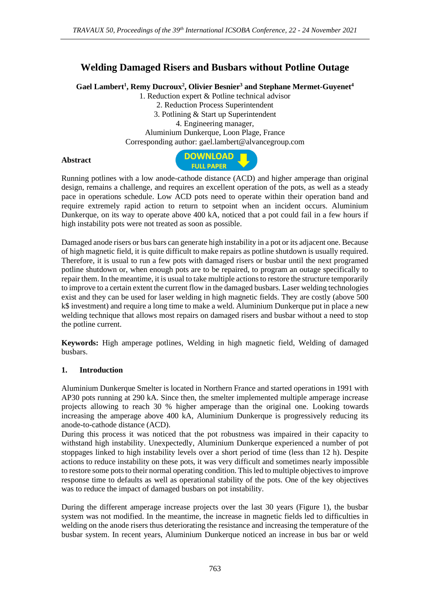## **Welding Damaged Risers and Busbars without Potline Outage**

**Gael Lambert<sup>1</sup> , Remy Ducroux<sup>2</sup> , Olivier Besnier<sup>3</sup> and Stephane Mermet-Guyenet<sup>4</sup>**

1. Reduction expert & Potline technical advisor 2. Reduction Process Superintendent 3. Potlining & Start up Superintendent 4. Engineering manager, Aluminium Dunkerque, Loon Plage, France Corresponding author: gael.lambert@alvancegroup.com

## **Abstract**



Running potlines with a low anode-cathode distance (ACD) and higher amperage than original design, remains a challenge, and requires an excellent operation of the pots, as well as a steady pace in operations schedule. Low ACD pots need to operate within their operation band and require extremely rapid action to return to setpoint when an incident occurs. Aluminium Dunkerque, on its way to operate above 400 kA, noticed that a pot could fail in a few hours if high instability pots were not treated as soon as possible.

Damaged anode risers or bus bars can generate high instability in a pot or its adjacent one. Because of high magnetic field, it is quite difficult to make repairs as potline shutdown is usually required. Therefore, it is usual to run a few pots with damaged risers or busbar until the next programed potline shutdown or, when enough pots are to be repaired, to program an outage specifically to repair them. In the meantime, it is usual to take multiple actions to restore the structure temporarily to improve to a certain extent the current flow in the damaged busbars. Laser welding technologies exist and they can be used for laser welding in high magnetic fields. They are costly (above 500 k\$ investment) and require a long time to make a weld. Aluminium Dunkerque put in place a new welding technique that allows most repairs on damaged risers and busbar without a need to stop the potline current.

**Keywords:** High amperage potlines, Welding in high magnetic field, Welding of damaged busbars.

## **1. Introduction**

Aluminium Dunkerque Smelter is located in Northern France and started operations in 1991 with AP30 pots running at 290 kA. Since then, the smelter implemented multiple amperage increase projects allowing to reach 30 % higher amperage than the original one. Looking towards increasing the amperage above 400 kA, Aluminium Dunkerque is progressively reducing its anode-to-cathode distance (ACD).

During this process it was noticed that the pot robustness was impaired in their capacity to withstand high instability. Unexpectedly, Aluminium Dunkerque experienced a number of pot stoppages linked to high instability levels over a short period of time (less than 12 h). Despite actions to reduce instability on these pots, it was very difficult and sometimes nearly impossible to restore some pots to their normal operating condition. This led to multiple objectives to improve response time to defaults as well as operational stability of the pots. One of the key objectives was to reduce the impact of damaged busbars on pot instability.

During the different amperage increase projects over the last 30 years (Figure 1), the busbar system was not modified. In the meantime, the increase in magnetic fields led to difficulties in welding on the anode risers thus deteriorating the resistance and increasing the temperature of the busbar system. In recent years, Aluminium Dunkerque noticed an increase in bus bar or weld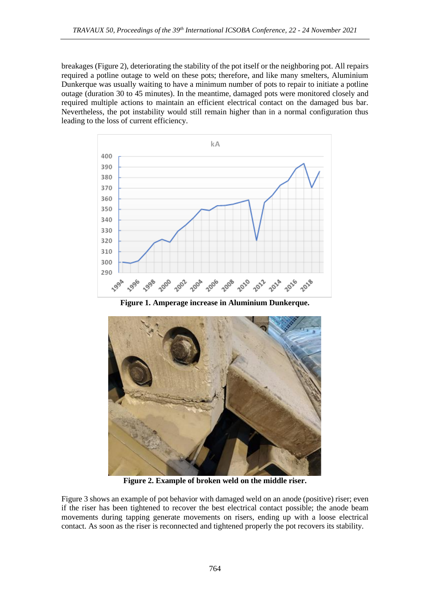breakages (Figure 2), deteriorating the stability of the pot itself or the neighboring pot. All repairs required a potline outage to weld on these pots; therefore, and like many smelters, Aluminium Dunkerque was usually waiting to have a minimum number of pots to repair to initiate a potline outage (duration 30 to 45 minutes). In the meantime, damaged pots were monitored closely and required multiple actions to maintain an efficient electrical contact on the damaged bus bar. Nevertheless, the pot instability would still remain higher than in a normal configuration thus leading to the loss of current efficiency.



**Figure 1. Amperage increase in Aluminium Dunkerque.**



**Figure 2. Example of broken weld on the middle riser.**

Figure 3 shows an example of pot behavior with damaged weld on an anode (positive) riser; even if the riser has been tightened to recover the best electrical contact possible; the anode beam movements during tapping generate movements on risers, ending up with a loose electrical contact. As soon as the riser is reconnected and tightened properly the pot recovers its stability.